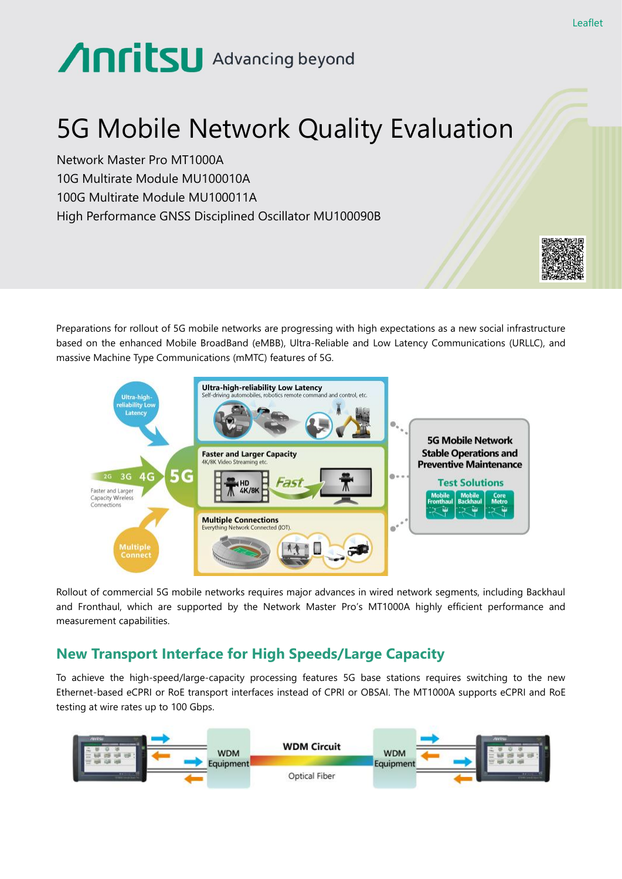# Anritsu Advancing beyond

## 5G Mobile Network Quality Evaluation

Network Master Pro MT1000A 10G Multirate Module MU100010A 100G Multirate Module MU100011A High Performance GNSS Disciplined Oscillator MU100090B



Preparations for rollout of 5G mobile networks are progressing with high expectations as a new social infrastructure based on the enhanced Mobile BroadBand (eMBB), Ultra-Reliable and Low Latency Communications (URLLC), and massive Machine Type Communications (mMTC) features of 5G.



Rollout of commercial 5G mobile networks requires major advances in wired network segments, including Backhaul and Fronthaul, which are supported by the Network Master Pro's MT1000A highly efficient performance and measurement capabilities.

### **New Transport Interface for High Speeds/Large Capacity**

To achieve the high-speed/large-capacity processing features 5G base stations requires switching to the new Ethernet-based eCPRI or RoE transport interfaces instead of CPRI or OBSAI. The MT1000A supports eCPRI and RoE testing at wire rates up to 100 Gbps.